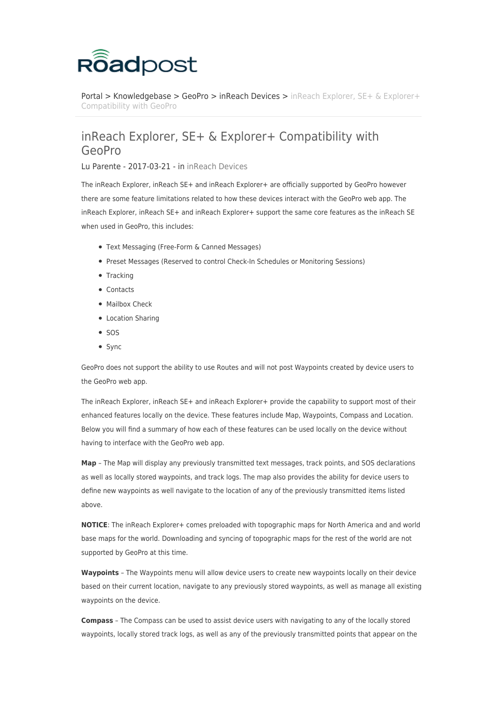

[Portal](https://roadpost.deskpro.com/) > [Knowledgebase](https://roadpost.deskpro.com/kb) > [GeoPro](https://roadpost.deskpro.com/kb/geopro-3) > [inReach Devices](https://roadpost.deskpro.com/kb/inreach-devices) > [inReach Explorer, SE+ & Explorer+](https://roadpost.deskpro.com/kb/articles/inreach-explorer-se-explorer-compatibility-with-geopro) [Compatibility with GeoPro](https://roadpost.deskpro.com/kb/articles/inreach-explorer-se-explorer-compatibility-with-geopro)

## inReach Explorer, SE+ & Explorer+ Compatibility with GeoPro

Lu Parente - 2017-03-21 - in [inReach Devices](https://roadpost.deskpro.com/kb/inreach-devices)

The inReach Explorer, inReach SE+ and inReach Explorer+ are officially supported by GeoPro however there are some feature limitations related to how these devices interact with the GeoPro web app. The inReach Explorer, inReach SE+ and inReach Explorer+ support the same core features as the inReach SE when used in GeoPro, this includes:

- Text Messaging (Free-Form & Canned Messages)
- Preset Messages (Reserved to control Check-In Schedules or Monitoring Sessions)
- Tracking
- Contacts
- Mailbox Check
- Location Sharing
- $\bullet$  SOS
- Sync

GeoPro does not support the ability to use Routes and will not post Waypoints created by device users to the GeoPro web app.

The inReach Explorer, inReach SE+ and inReach Explorer+ provide the capability to support most of their enhanced features locally on the device. These features include Map, Waypoints, Compass and Location. Below you will find a summary of how each of these features can be used locally on the device without having to interface with the GeoPro web app.

**Map** – The Map will display any previously transmitted text messages, track points, and SOS declarations as well as locally stored waypoints, and track logs. The map also provides the ability for device users to define new waypoints as well navigate to the location of any of the previously transmitted items listed above.

**NOTICE**: The inReach Explorer+ comes preloaded with topographic maps for North America and and world base maps for the world. Downloading and syncing of topographic maps for the rest of the world are not supported by GeoPro at this time.

**Waypoints** – The Waypoints menu will allow device users to create new waypoints locally on their device based on their current location, navigate to any previously stored waypoints, as well as manage all existing waypoints on the device.

**Compass** – The Compass can be used to assist device users with navigating to any of the locally stored waypoints, locally stored track logs, as well as any of the previously transmitted points that appear on the